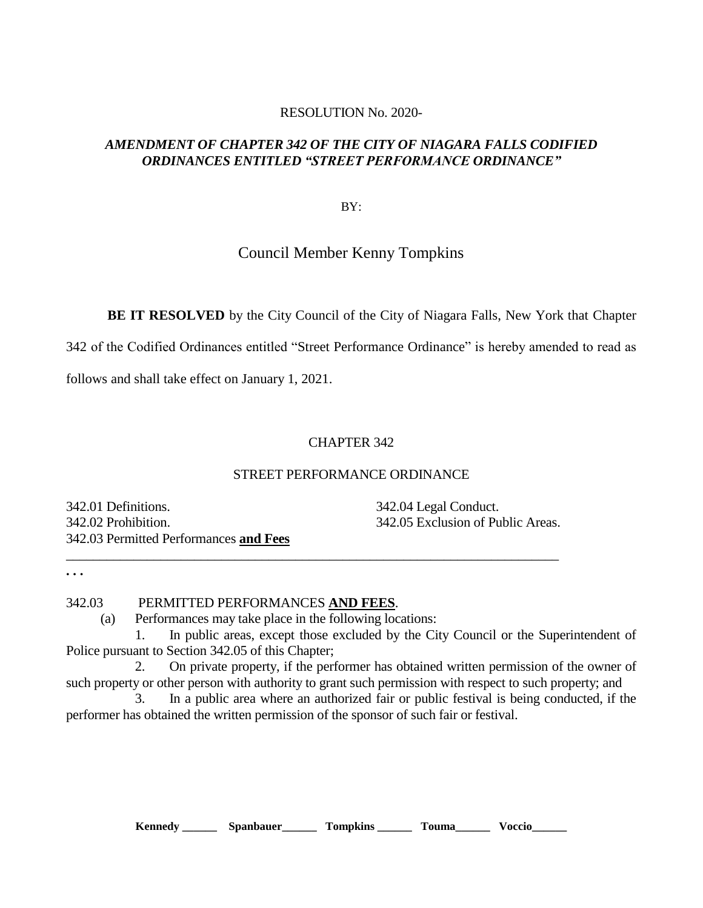#### RESOLUTION No. 2020-

### *AMENDMENT OF CHAPTER 342 OF THE CITY OF NIAGARA FALLS CODIFIED ORDINANCES ENTITLED "STREET PERFORMANCE ORDINANCE"*

BY:

# Council Member Kenny Tompkins

**BE IT RESOLVED** by the City Council of the City of Niagara Falls, New York that Chapter

342 of the Codified Ordinances entitled "Street Performance Ordinance" is hereby amended to read as

follows and shall take effect on January 1, 2021.

### CHAPTER 342

#### STREET PERFORMANCE ORDINANCE

342.01 Definitions. 342.04 Legal Conduct. 342.02 Prohibition. 342.05 Exclusion of Public Areas. 342.03 Permitted Performances **and Fees**

**. . .** 

## 342.03 PERMITTED PERFORMANCES **AND FEES**.

(a) Performances may take place in the following locations:

 $\_$  , and the set of the set of the set of the set of the set of the set of the set of the set of the set of the set of the set of the set of the set of the set of the set of the set of the set of the set of the set of th

 1. In public areas, except those excluded by the City Council or the Superintendent of Police pursuant to Section 342.05 of this Chapter;

2. On private property, if the performer has obtained written permission of the owner of such property or other person with authority to grant such permission with respect to such property; and

 3. In a public area where an authorized fair or public festival is being conducted, if the performer has obtained the written permission of the sponsor of such fair or festival.

**Kennedy \_\_\_\_\_\_ Spanbauer\_\_\_\_\_\_ Tompkins \_\_\_\_\_\_ Touma\_\_\_\_\_\_ Voccio\_\_\_\_\_\_**